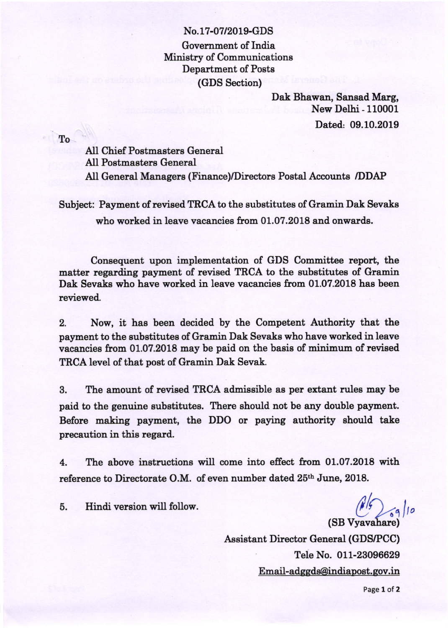## No.17-07/2019-GDS Government of India Ministry of Communications Department of Posts (GDS Section)

Dak Bhawan, Sansad Marg, New Delhi - 110001 Dated: 09.10.2019

To

AII Chief Postmasters General All Postmasters General All General Managers (Finance/Directors Postal Accounte /DDAP

Subject: Payment of revised TRCA to the substitutes of Gramin Dak Sevake who worked in leave vacancies from 01.07.2018 and onwards.

Consequent upon implementation of GDS Committee report, the matter regarding payment of revised TRCA to the eubstitutes of Gramin Dak Sevaks who have worked in leave vacancies from 01.07.2018 has been reviewed.

2. Now, it has been decided by the Competent Authority that the payment to the substitutee of Gramin Dak Sevake who have worked in leave vacancies from 01.07.2018 may be paid on the basis of minimum of revised TRCA level of that post of Gramin Dak Sevak.

3. The amount of revieed TRCA admissible as per extant rules may be paid to the genuine substitutes. There should not be any double payment. Before making payment, the DDO or paying authority should take precaution in this regard.

4. The above instructions will come into effect from 01.07.2018 with reference to Directorate O.M. of even number dated 25<sup>th</sup> June, 2018.

5. Hindi version will follow.

(SB Vyavahare) 0

Assistant Director General (GDS/PCC) Tele No. 011-23096629 <u>Email-adggds@indiapost.gov.in</u>

Page 1 of 2